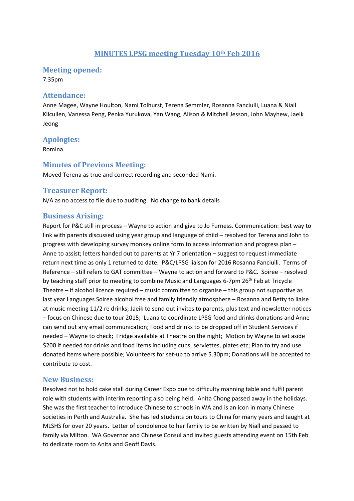# **MINUTES LPSG meeting Tuesday 10th Feb 2016**

#### **Meeting opened:**

7.35pm

#### **Attendance:**

Anne Magee, Wayne Houlton, Nami Tolhurst, Terena Semmler, Rosanna Fanciulli, Luana & Niall Kilcullen, Vanessa Peng, Penka Yurukova, Yan Wang, Alison & Mitchell Jesson, John Mayhew, Jaeik Jeong

## **Apologies:**

Romina

## **Minutes of Previous Meeting:**

Moved Terena as true and correct recording and seconded Nami.

## **Treasurer Report:**

N/A as no access to file due to auditing. No change to bank details

## **Business Arising:**

Report for P&C still in process – Wayne to action and give to Jo Furness. Communication: best way to link with parents discussed using year group and language of child – resolved for Terena and John to progress with developing survey monkey online form to access information and progress plan – Anne to assist; letters handed out to parents at Yr 7 orientation – suggest to request immediate return next time as only 1 returned to date. P&C/LPSG liaison for 2016 Rosanna Fanciulli. Terms of Reference – still refers to GAT committee – Wayne to action and forward to P&C. Soiree – resolved by teaching staff prior to meeting to combine Music and Languages 6-7pm 26<sup>th</sup> Feb at Tricycle Theatre – if alcohol licence required – music committee to organise – this group not supportive as last year Languages Soiree alcohol free and family friendly atmosphere – Rosanna and Betty to liaise at music meeting 11/2 re drinks; Jaeik to send out invites to parents, plus text and newsletter notices – focus on Chinese due to tour 2015; Luana to coordinate LPSG food and drinks donations and Anne can send out any email communication; Food and drinks to be dropped off in Student Services if needed – Wayne to check; Fridge available at Theatre on the night; Motion by Wayne to set aside \$200 if needed for drinks and food items including cups, serviettes, plates etc; Plan to try and use donated items where possible; Volunteers for set‐up to arrive 5.30pm; Donations will be accepted to contribute to cost.

#### **New Business:**

Resolved not to hold cake stall during Career Expo due to difficulty manning table and fulfil parent role with students with interim reporting also being held. Anita Chong passed away in the holidays. She was the first teacher to introduce Chinese to schools in WA and is an icon in many Chinese societies in Perth and Australia. She has led students on tours to China for many years and taught at MLSHS for over 20 years. Letter of condolence to her family to be written by Niall and passed to family via Milton. WA Governor and Chinese Consul and invited guests attending event on 15th Feb to dedicate room to Anita and Geoff Davis.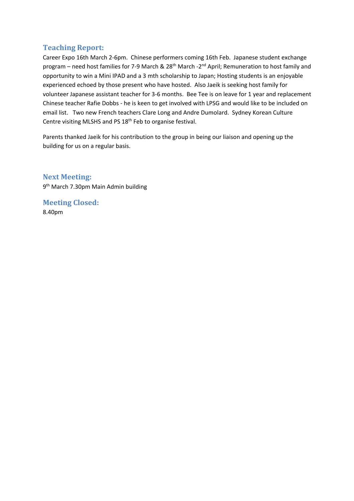# **Teaching Report:**

Career Expo 16th March 2‐6pm. Chinese performers coming 16th Feb. Japanese student exchange program – need host families for 7-9 March & 28<sup>th</sup> March -2<sup>nd</sup> April; Remuneration to host family and opportunity to win a Mini IPAD and a 3 mth scholarship to Japan; Hosting students is an enjoyable experienced echoed by those present who have hosted. Also Jaeik is seeking host family for volunteer Japanese assistant teacher for 3‐6 months. Bee Tee is on leave for 1 year and replacement Chinese teacher Rafie Dobbs ‐ he is keen to get involved with LPSG and would like to be included on email list. Two new French teachers Clare Long and Andre Dumolard. Sydney Korean Culture Centre visiting MLSHS and PS 18th Feb to organise festival.

Parents thanked Jaeik for his contribution to the group in being our liaison and opening up the building for us on a regular basis.

## **Next Meeting:**

9th March 7.30pm Main Admin building

**Meeting Closed:** 8.40pm